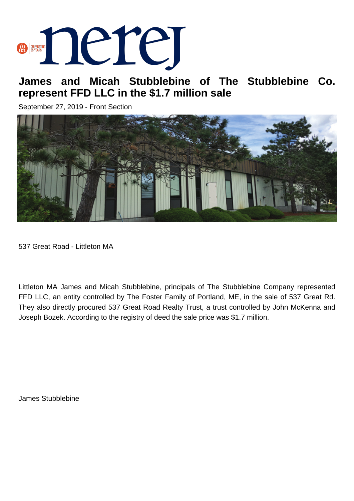## **BERRING DELLE**

## **James and Micah Stubblebine of The Stubblebine Co. represent FFD LLC in the \$1.7 million sale**

September 27, 2019 - Front Section



537 Great Road - Littleton MA

Littleton MA James and Micah Stubblebine, principals of The Stubblebine Company represented FFD LLC, an entity controlled by The Foster Family of Portland, ME, in the sale of 537 Great Rd. They also directly procured 537 Great Road Realty Trust, a trust controlled by John McKenna and Joseph Bozek. According to the registry of deed the sale price was \$1.7 million.

James Stubblebine